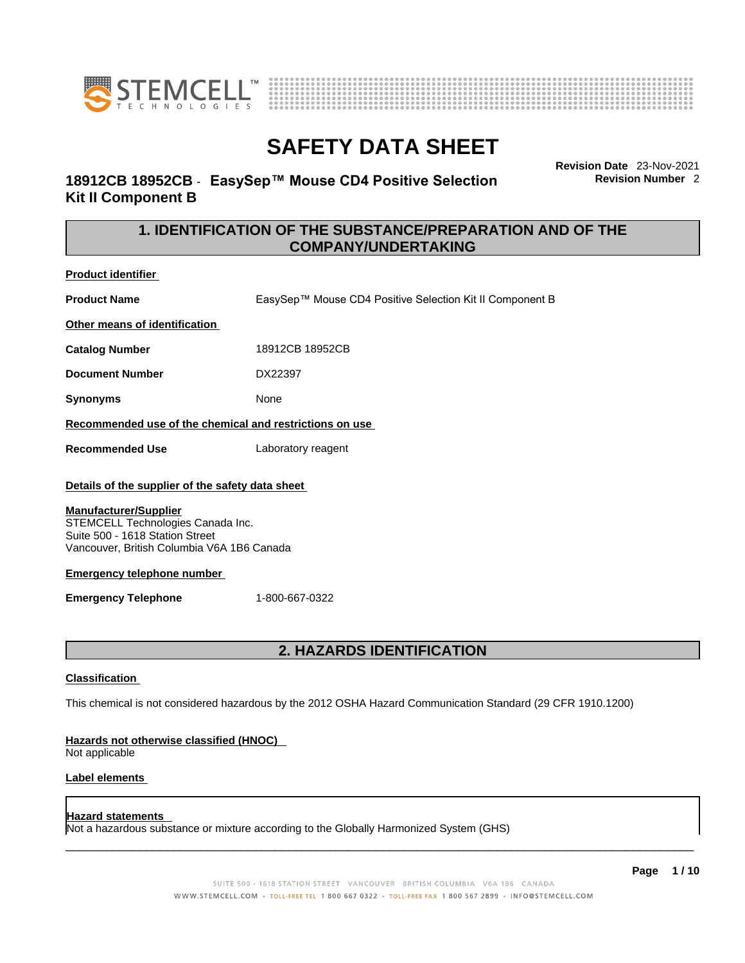



## **18912CB 18952CB** - **EasySep™ Mouse CD4 Positive Selection Kit II Component B**

**Revision Date** 23-Nov-2021 **Revision Number** 2

## **1. IDENTIFICATION OF THE SUBSTANCE/PREPARATION AND OF THE COMPANY/UNDERTAKING**

**Product identifier**

**Product Name** EasySep™ Mouse CD4 Positive Selection Kit II Component B

**Other means of identification**

**Catalog Number** 18912CB 18952CB

**Document Number** DX22397

**Synonyms** None

**Recommended use of the chemical and restrictions on use**

**Recommended Use** Laboratory reagent

## **Details of the supplier of the safety data sheet**

## **Manufacturer/Supplier**

STEMCELL Technologies Canada Inc. Suite 500 - 1618 Station Street Vancouver, British Columbia V6A 1B6 Canada

## **Emergency telephone number**

**Emergency Telephone** 1-800-667-0322

## **2. HAZARDS IDENTIFICATION**

## **Classification**

This chemical is not considered hazardous by the 2012 OSHA Hazard Communication Standard (29 CFR 1910.1200)

## **Hazards not otherwise classified (HNOC)**

Not applicable

## **Label elements**

## **Hazard statements**

Not a hazardous substance or mixture according to the Globally Harmonized System (GHS)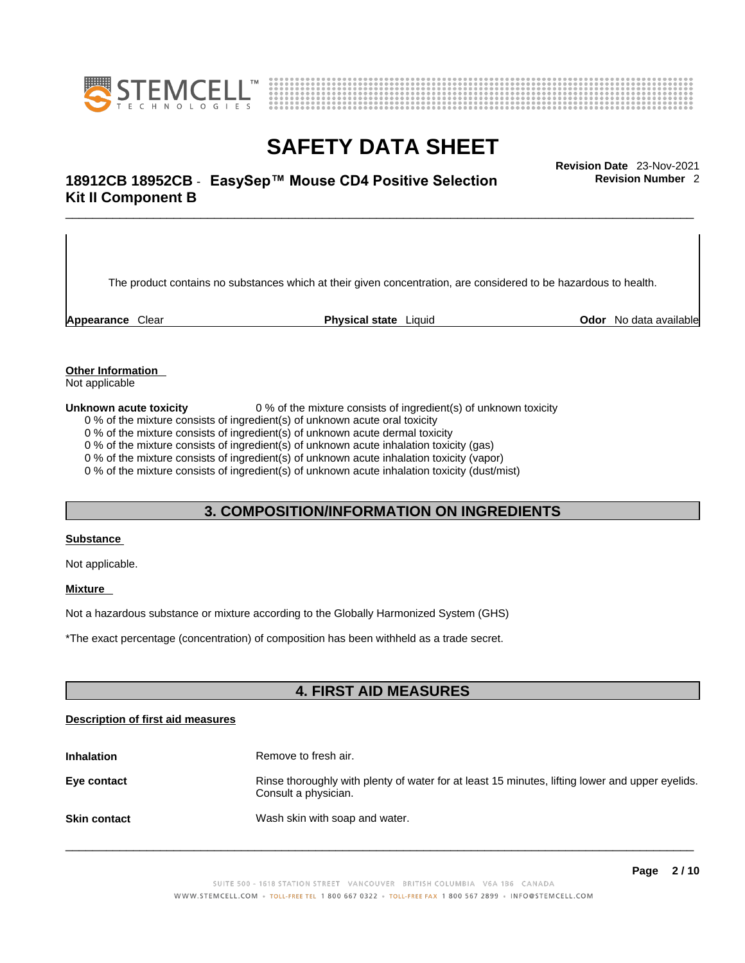



## \_\_\_\_\_\_\_\_\_\_\_\_\_\_\_\_\_\_\_\_\_\_\_\_\_\_\_\_\_\_\_\_\_\_\_\_\_\_\_\_\_\_\_\_\_\_\_\_\_\_\_\_\_\_\_\_\_\_\_\_\_\_\_\_\_\_\_\_\_\_\_\_\_\_\_\_\_\_\_\_\_\_\_\_\_\_\_\_\_\_\_\_\_ **Revision Date** 23-Nov-2021 **18912CB 18952CB** - **EasySep™ Mouse CD4 Positive Selection Kit II Component B**

The product contains no substances which at their given concentration, are considered to be hazardous to health.

**Appearance** Clear **Physical state** Liquid **Odor** No data available

**Revision Number** 2

**Other Information** 

Not applicable

**Unknown acute toxicity** 0 % of the mixture consists of ingredient(s) of unknown toxicity

0 % of the mixture consists of ingredient(s) of unknown acute oral toxicity

0 % of the mixture consists of ingredient(s) of unknown acute dermal toxicity

0 % of the mixture consists of ingredient(s) of unknown acute inhalation toxicity (gas)

0 % of the mixture consists of ingredient(s) of unknown acute inhalation toxicity (vapor)

0 % of the mixture consists of ingredient(s) of unknown acute inhalation toxicity (dust/mist)

## **3. COMPOSITION/INFORMATION ON INGREDIENTS**

#### **Substance**

Not applicable.

## **Mixture**

Not a hazardous substance or mixture according to the Globally Harmonized System (GHS)

\*The exact percentage (concentration) ofcomposition has been withheld as a trade secret.

## **4. FIRST AID MEASURES**

## **Description of first aid measures**

| <b>Inhalation</b>   | Remove to fresh air.                                                                                                    |
|---------------------|-------------------------------------------------------------------------------------------------------------------------|
| Eye contact         | Rinse thoroughly with plenty of water for at least 15 minutes, lifting lower and upper eyelids.<br>Consult a physician. |
| <b>Skin contact</b> | Wash skin with soap and water.                                                                                          |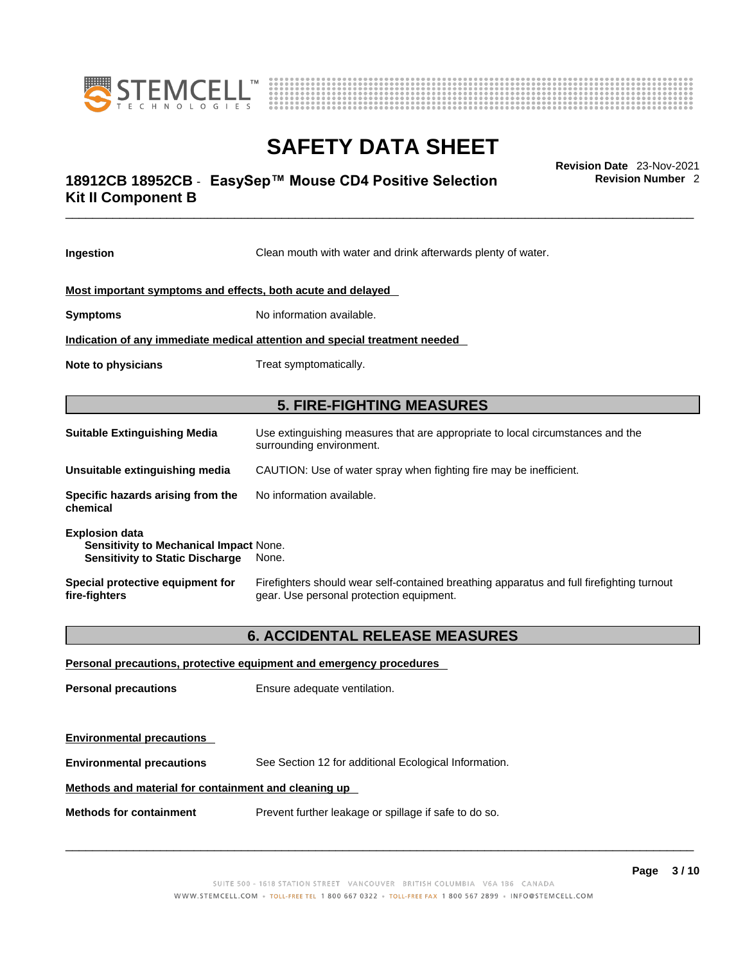



## \_\_\_\_\_\_\_\_\_\_\_\_\_\_\_\_\_\_\_\_\_\_\_\_\_\_\_\_\_\_\_\_\_\_\_\_\_\_\_\_\_\_\_\_\_\_\_\_\_\_\_\_\_\_\_\_\_\_\_\_\_\_\_\_\_\_\_\_\_\_\_\_\_\_\_\_\_\_\_\_\_\_\_\_\_\_\_\_\_\_\_\_\_ **Revision Date** 23-Nov-2021 **18912CB 18952CB** - **EasySep™ Mouse CD4 Positive Selection Kit II Component B**

**Revision Number** 2

| Ingestion                                                                                                 | Clean mouth with water and drink afterwards plenty of water.                                                                          |  |
|-----------------------------------------------------------------------------------------------------------|---------------------------------------------------------------------------------------------------------------------------------------|--|
| Most important symptoms and effects, both acute and delayed                                               |                                                                                                                                       |  |
| <b>Symptoms</b>                                                                                           | No information available.                                                                                                             |  |
| Indication of any immediate medical attention and special treatment needed                                |                                                                                                                                       |  |
| <b>Note to physicians</b>                                                                                 | Treat symptomatically.                                                                                                                |  |
|                                                                                                           | <b>5. FIRE-FIGHTING MEASURES</b>                                                                                                      |  |
| <b>Suitable Extinguishing Media</b>                                                                       | Use extinguishing measures that are appropriate to local circumstances and the<br>surrounding environment.                            |  |
| Unsuitable extinguishing media                                                                            | CAUTION: Use of water spray when fighting fire may be inefficient.                                                                    |  |
| Specific hazards arising from the<br>chemical                                                             | No information available.                                                                                                             |  |
| <b>Explosion data</b><br>Sensitivity to Mechanical Impact None.<br><b>Sensitivity to Static Discharge</b> | None.                                                                                                                                 |  |
| Special protective equipment for<br>fire-fighters                                                         | Firefighters should wear self-contained breathing apparatus and full firefighting turnout<br>gear. Use personal protection equipment. |  |
|                                                                                                           | <b>6. ACCIDENTAL RELEASE MEASURES</b>                                                                                                 |  |
|                                                                                                           | Personal precautions, protective equipment and emergency procedures                                                                   |  |
| <b>Personal precautions</b>                                                                               | Ensure adequate ventilation.                                                                                                          |  |
| <b>Environmental precautions</b>                                                                          |                                                                                                                                       |  |

**Environmental precautions** See Section 12 for additional Ecological Information.

## **Methods and material for containment and cleaning up**

**Methods for containment** Prevent further leakage or spillage if safe to do so.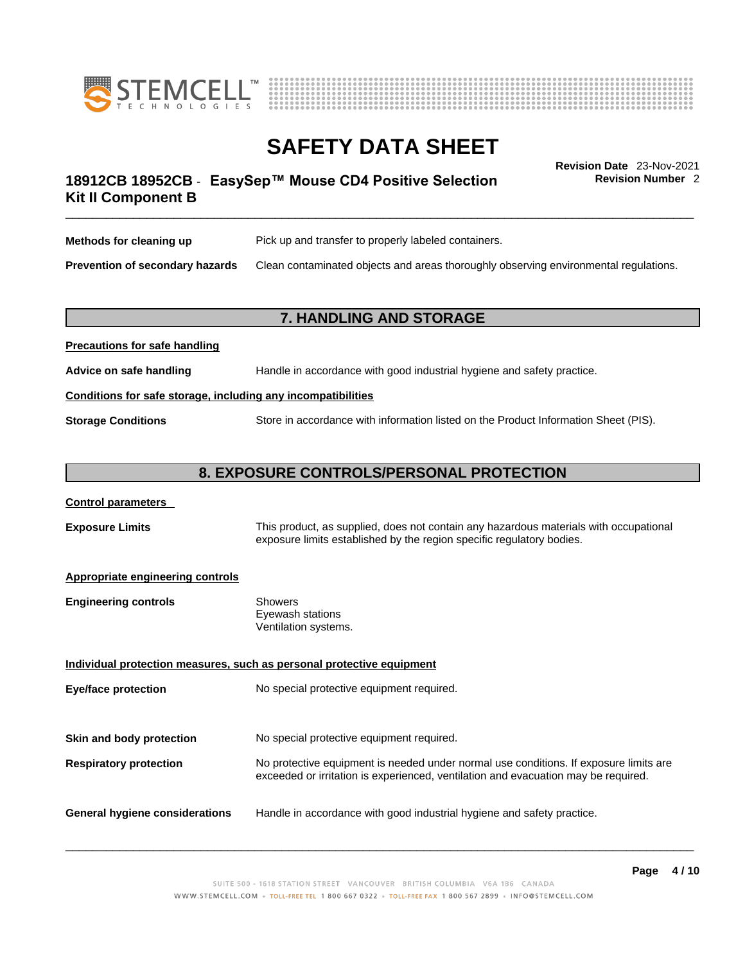



## \_\_\_\_\_\_\_\_\_\_\_\_\_\_\_\_\_\_\_\_\_\_\_\_\_\_\_\_\_\_\_\_\_\_\_\_\_\_\_\_\_\_\_\_\_\_\_\_\_\_\_\_\_\_\_\_\_\_\_\_\_\_\_\_\_\_\_\_\_\_\_\_\_\_\_\_\_\_\_\_\_\_\_\_\_\_\_\_\_\_\_\_\_ **Revision Date** 23-Nov-2021 **18912CB 18952CB** - **EasySep™ Mouse CD4 Positive Selection Kit II Component B**

**Revision Number** 2

| Methods for cleaning up         | Pick up and transfer to properly labeled containers.                                 |
|---------------------------------|--------------------------------------------------------------------------------------|
| Prevention of secondary hazards | Clean contaminated objects and areas thoroughly observing environmental regulations. |

## **7. HANDLING AND STORAGE**

| Advice on safe handling   | Handle in accordance with good industrial hygiene and safety practice.              |  |
|---------------------------|-------------------------------------------------------------------------------------|--|
|                           | Conditions for safe storage, including any incompatibilities                        |  |
| <b>Storage Conditions</b> | Store in accordance with information listed on the Product Information Sheet (PIS). |  |

## **8. EXPOSURE CONTROLS/PERSONAL PROTECTION**

## **Control parameters**

**Precautions for safe handling**

**Exposure Limits** This product, as supplied, does not contain any hazardous materials with occupational exposure limits established by the region specific regulatory bodies.

## **Appropriate engineering controls**

| Showers              |
|----------------------|
| Eyewash stations     |
| Ventilation systems. |
|                      |

**Individual protection measures, such as personal protective equipment Eye/face protection** No special protective equipment required. **Skin and body protection** No special protective equipment required. **Respiratory protection** No protective equipment is needed under normal use conditions. If exposure limits are exceeded or irritation is experienced, ventilation and evacuation may be required. **General hygiene considerations** Handle in accordance with good industrial hygiene and safety practice.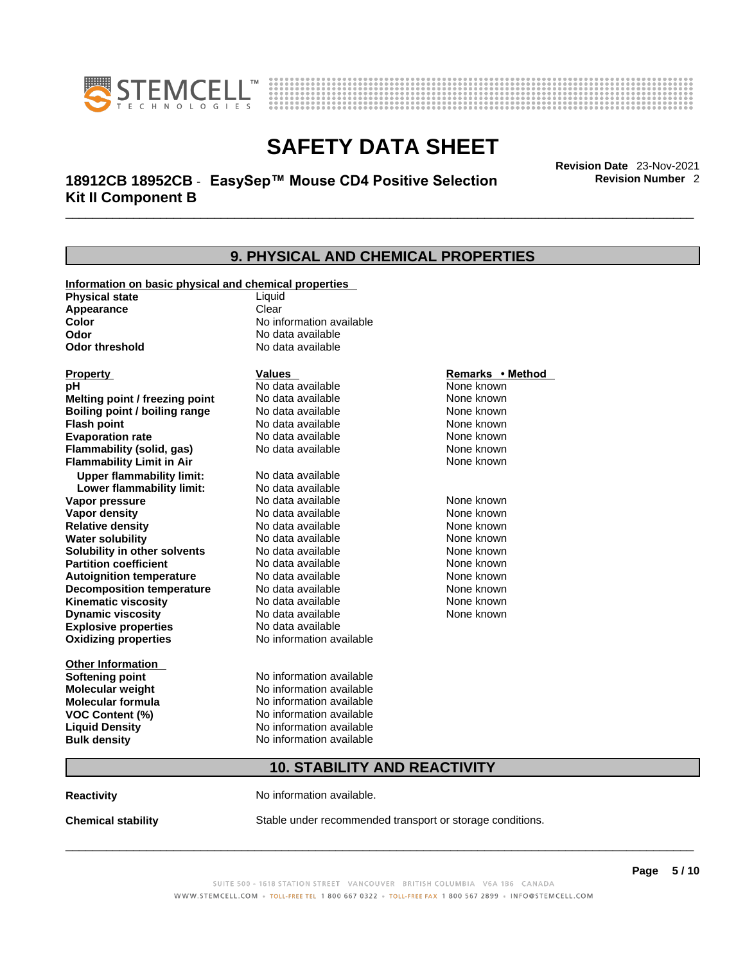



**9. PHYSICAL AND CHEMICAL PROPERTIES** 

## \_\_\_\_\_\_\_\_\_\_\_\_\_\_\_\_\_\_\_\_\_\_\_\_\_\_\_\_\_\_\_\_\_\_\_\_\_\_\_\_\_\_\_\_\_\_\_\_\_\_\_\_\_\_\_\_\_\_\_\_\_\_\_\_\_\_\_\_\_\_\_\_\_\_\_\_\_\_\_\_\_\_\_\_\_\_\_\_\_\_\_\_\_ **Revision Date** 23-Nov-2021 **18912CB 18952CB** - **EasySep™ Mouse CD4 Positive Selection Kit II Component B**

**Revision Number** 2

## **Information on basic physical and chemical properties Physical state** Liquid **Appearance** Clear<br> **Color** No int **Color Color Color Color Color Color Color No** data available **Odor Odor Constanting Codor Constanting Codor Codor Codor Codor Codor Codor Codor Codor Codor Codor Codor Codor Codor Codor Codor Codor Codor Codor Codor Codor Codor Codor Codor No data available Explosive properties** No data available **Oxidizing properties** No information available **Other Information Softening point** No information available **Molecular weight** No information available **Molecular formula** No information available<br>**VOC Content (%)** No information available **VOC Content (%) Liquid Density** No information available **Bulk density No information available 10. STABILITY AND REACTIVITY Reactivity No information available. Chemical stability** Stable under recommended transport or storage conditions. **Property CONSCRUTE IN THE VALUES REMARKS • Method pH** No data available None known **Melting point / freezing point Boiling point / boiling range Modata available None known None known Flash point Communist Communist Communist Communist Communist Communist Communist Communist Communist Communist Communist Communist Communist Communist Communist Communist Communist Communist Communist Communist Communi Evaporation rate Reserve ACC** No data available **None known** None known **Flammability (solid, gas)** No data available None known **Flammability Limit in Air** None known **Upper flammability limit:** No data available **Lower flammability limit:** No data available **Vapor pressure No data available None known Vapor density No data available None known Relative density No data available None known** None known **Water solubility No data available** Mome known<br> **Solubility in other solvents** No data available **None known**<br>
None known **Solubility in other solvents** No data available **None known**<br> **Partition coefficient** No data available None known **Partition coefficient**<br>**Autoignition temperature** No data available **Autoignition temperature** No data available None known<br> **Decomposition temperature** No data available None known **Decomposition temperature** No data available None known<br> **Kinematic viscosity** No data available None known **Kinematic viscosity** No data available<br> **Dynamic viscosity** No data available **Dynamic viscosity**  $\_$  ,  $\_$  ,  $\_$  ,  $\_$  ,  $\_$  ,  $\_$  ,  $\_$  ,  $\_$  ,  $\_$  ,  $\_$  ,  $\_$  ,  $\_$  ,  $\_$  ,  $\_$  ,  $\_$  ,  $\_$  ,  $\_$  ,  $\_$  ,  $\_$  ,  $\_$  ,  $\_$  ,  $\_$  ,  $\_$  ,  $\_$  ,  $\_$  ,  $\_$  ,  $\_$  ,  $\_$  ,  $\_$  ,  $\_$  ,  $\_$  ,  $\_$  ,  $\_$  ,  $\_$  ,  $\_$  ,  $\_$  ,  $\_$  , None known

SUITE 500 - 1618 STATION STREET VANCOUVER BRITISH COLUMBIA V6A 1B6 CANADA WWW.STEMCELL.COM • TOLL-FREE TEL 1800 667 0322 • TOLL-FREE FAX 1800 567 2899 • INFO@STEMCELL.COM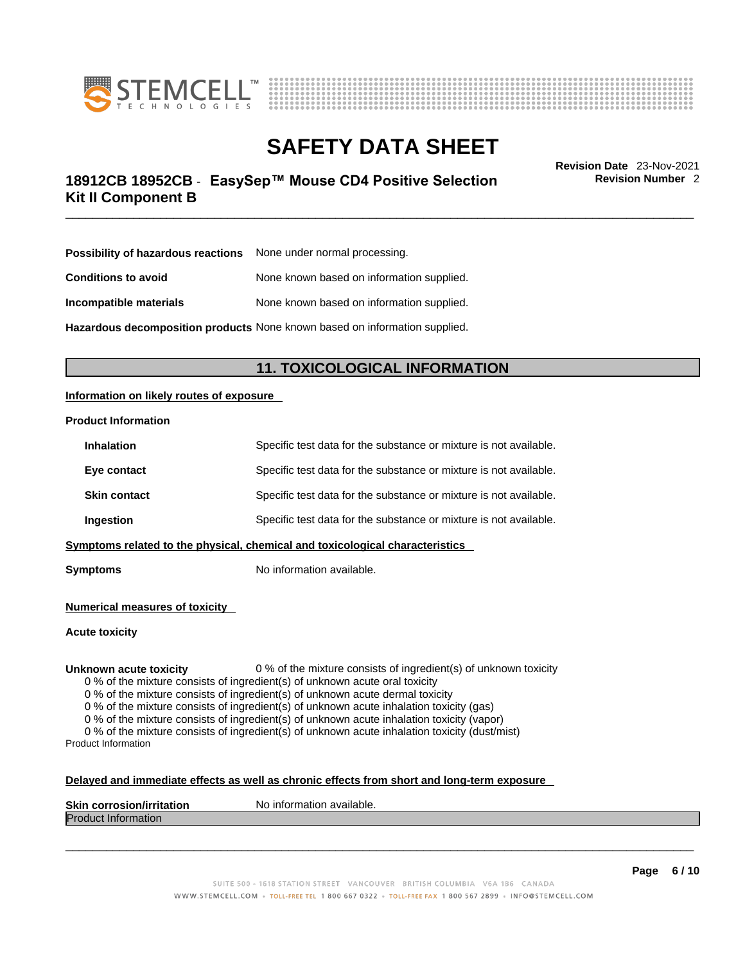



## \_\_\_\_\_\_\_\_\_\_\_\_\_\_\_\_\_\_\_\_\_\_\_\_\_\_\_\_\_\_\_\_\_\_\_\_\_\_\_\_\_\_\_\_\_\_\_\_\_\_\_\_\_\_\_\_\_\_\_\_\_\_\_\_\_\_\_\_\_\_\_\_\_\_\_\_\_\_\_\_\_\_\_\_\_\_\_\_\_\_\_\_\_ **Revision Date** 23-Nov-2021 **18912CB 18952CB** - **EasySep™ Mouse CD4 Positive Selection Kit II Component B**

**Revision Number** 2

| <b>Possibility of hazardous reactions</b> None under normal processing. |                                           |
|-------------------------------------------------------------------------|-------------------------------------------|
| <b>Conditions to avoid</b>                                              | None known based on information supplied. |
| Incompatible materials                                                  | None known based on information supplied. |

**Hazardous decomposition products** None known based on information supplied.

## **11. TOXICOLOGICAL INFORMATION**

## **Information on likely routes of exposure**

## **Product Information**

| <b>Inhalation</b>                                                            | Specific test data for the substance or mixture is not available. |  |
|------------------------------------------------------------------------------|-------------------------------------------------------------------|--|
| Eye contact                                                                  | Specific test data for the substance or mixture is not available. |  |
| <b>Skin contact</b>                                                          | Specific test data for the substance or mixture is not available. |  |
| <b>Ingestion</b>                                                             | Specific test data for the substance or mixture is not available. |  |
| Symptoms related to the physical, chemical and toxicological characteristics |                                                                   |  |

**Symptoms** No information available.

**Numerical measures of toxicity**

**Acute toxicity**

**Unknown acute toxicity** 0 % of the mixture consists of ingredient(s) of unknown toxicity

0 % of the mixture consists of ingredient(s) of unknown acute oral toxicity

0 % of the mixture consists of ingredient(s) of unknown acute dermal toxicity

0 % of the mixture consists of ingredient(s) of unknown acute inhalation toxicity (gas)

0 % of the mixture consists of ingredient(s) of unknown acute inhalation toxicity (vapor)

0 % of the mixture consists of ingredient(s) of unknown acute inhalation toxicity (dust/mist) Product Information

#### **Delayed and immediate effects as well as chronic effects from short and long-term exposure**

| <b>Skin corrosion/irritation</b> | mation available.<br>Nο<br>. Inform |
|----------------------------------|-------------------------------------|
| Produc<br>⊆iniormation           |                                     |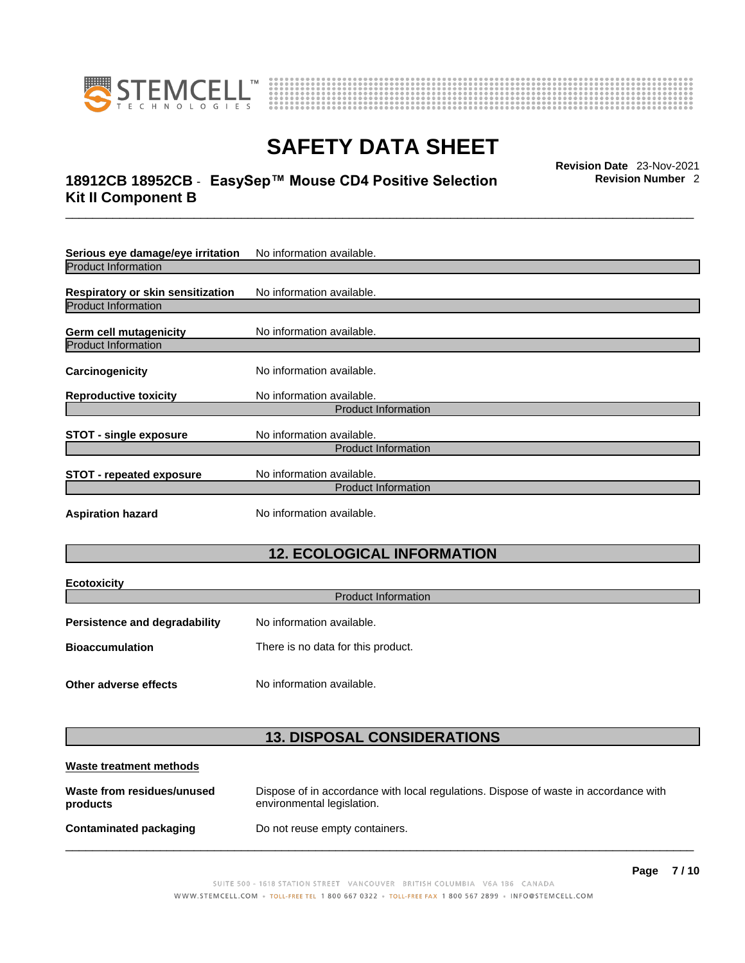



## \_\_\_\_\_\_\_\_\_\_\_\_\_\_\_\_\_\_\_\_\_\_\_\_\_\_\_\_\_\_\_\_\_\_\_\_\_\_\_\_\_\_\_\_\_\_\_\_\_\_\_\_\_\_\_\_\_\_\_\_\_\_\_\_\_\_\_\_\_\_\_\_\_\_\_\_\_\_\_\_\_\_\_\_\_\_\_\_\_\_\_\_\_ **Revision Date** 23-Nov-2021 **18912CB 18952CB** - **EasySep™ Mouse CD4 Positive Selection Kit II Component B**

**Revision Number** 2

| Serious eye damage/eye irritation | No information available.  |  |
|-----------------------------------|----------------------------|--|
| <b>Product Information</b>        |                            |  |
| Respiratory or skin sensitization | No information available.  |  |
| <b>Product Information</b>        |                            |  |
| Germ cell mutagenicity            | No information available.  |  |
| <b>Product Information</b>        |                            |  |
| <b>Carcinogenicity</b>            | No information available.  |  |
| <b>Reproductive toxicity</b>      | No information available.  |  |
|                                   | <b>Product Information</b> |  |
| <b>STOT - single exposure</b>     | No information available.  |  |
|                                   | <b>Product Information</b> |  |
| <b>STOT - repeated exposure</b>   | No information available.  |  |
| <b>Product Information</b>        |                            |  |
| <b>Aspiration hazard</b>          | No information available.  |  |

## **12. ECOLOGICAL INFORMATION**

| <b>Ecotoxicity</b>                   |                                    |  |
|--------------------------------------|------------------------------------|--|
| <b>Product Information</b>           |                                    |  |
| <b>Persistence and degradability</b> | No information available.          |  |
| <b>Bioaccumulation</b>               | There is no data for this product. |  |
| Other adverse effects                | No information available.          |  |

## **13. DISPOSAL CONSIDERATIONS**

| Waste treatment methods                |                                                                                                                    |
|----------------------------------------|--------------------------------------------------------------------------------------------------------------------|
| Waste from residues/unused<br>products | Dispose of in accordance with local regulations. Dispose of waste in accordance with<br>environmental legislation. |
| Contaminated packaging                 | Do not reuse empty containers.                                                                                     |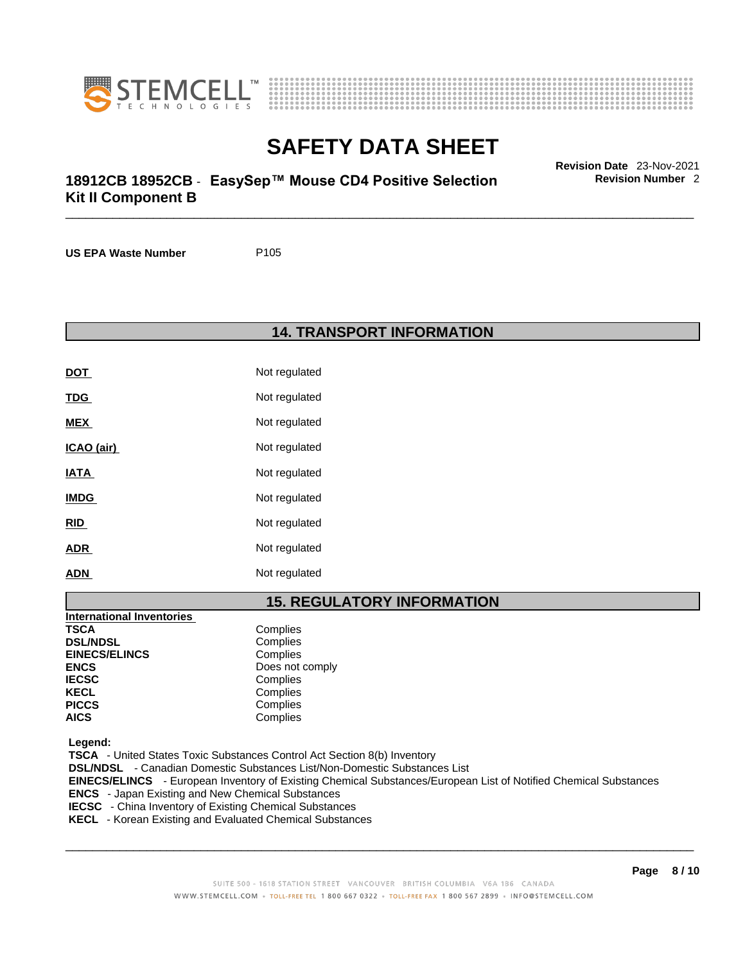



## \_\_\_\_\_\_\_\_\_\_\_\_\_\_\_\_\_\_\_\_\_\_\_\_\_\_\_\_\_\_\_\_\_\_\_\_\_\_\_\_\_\_\_\_\_\_\_\_\_\_\_\_\_\_\_\_\_\_\_\_\_\_\_\_\_\_\_\_\_\_\_\_\_\_\_\_\_\_\_\_\_\_\_\_\_\_\_\_\_\_\_\_\_ **Revision Date** 23-Nov-2021 **18912CB 18952CB** - **EasySep™ Mouse CD4 Positive Selection Kit II Component B**

**Revision Number** 2

**US EPA Waste Number** P105

**14. TRANSPORT INFORMATION** 

| <b>DOT</b>  | Not regulated |
|-------------|---------------|
| <u>TDG</u>  | Not regulated |
| <b>MEX</b>  | Not regulated |
| ICAO (air)  | Not regulated |
| <u>IATA</u> | Not regulated |
| <b>IMDG</b> | Not regulated |
| <u>RID</u>  | Not regulated |
| <b>ADR</b>  | Not regulated |
| <b>ADN</b>  | Not regulated |

## **15. REGULATORY INFORMATION**

| <b>International Inventories</b> |                 |
|----------------------------------|-----------------|
| <b>TSCA</b>                      | Complies        |
| <b>DSL/NDSL</b>                  | Complies        |
| <b>EINECS/ELINCS</b>             | Complies        |
| <b>ENCS</b>                      | Does not comply |
| <b>IECSC</b>                     | Complies        |
| <b>KECL</b>                      | Complies        |
| <b>PICCS</b>                     | Complies        |
| <b>AICS</b>                      | Complies        |

 **Legend:** 

 **TSCA** - United States Toxic Substances Control Act Section 8(b) Inventory  **DSL/NDSL** - Canadian Domestic Substances List/Non-Domestic Substances List  **EINECS/ELINCS** - European Inventory of Existing Chemical Substances/European List of Notified Chemical Substances  **ENCS** - Japan Existing and New Chemical Substances **IECSC** - China Inventory of Existing Chemical Substances  **KECL** - Korean Existing and Evaluated Chemical Substances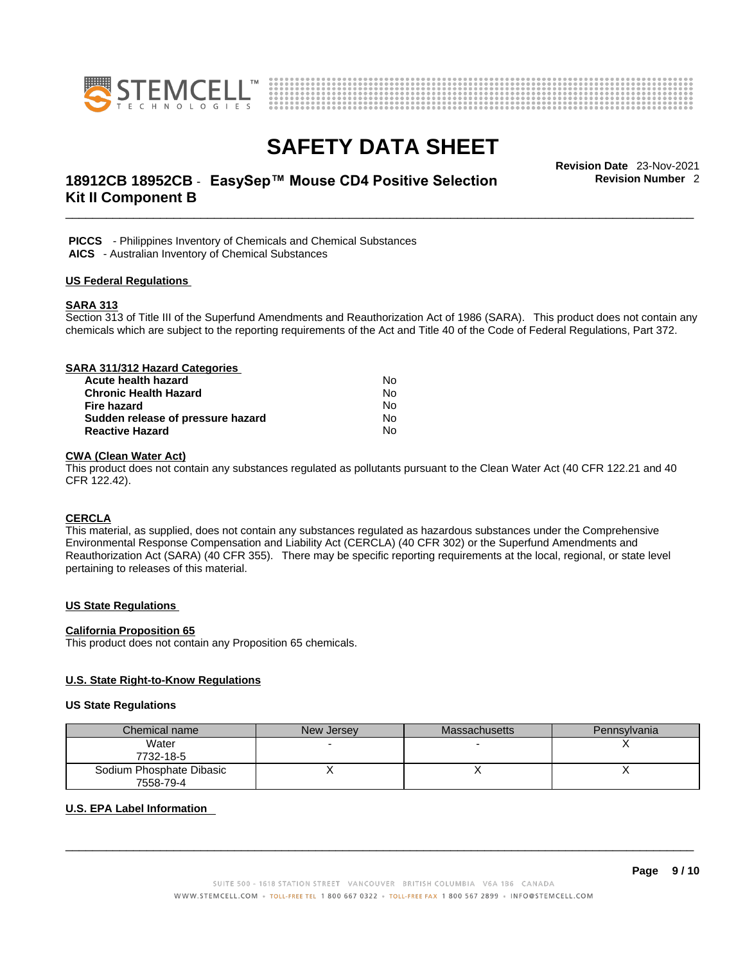



## \_\_\_\_\_\_\_\_\_\_\_\_\_\_\_\_\_\_\_\_\_\_\_\_\_\_\_\_\_\_\_\_\_\_\_\_\_\_\_\_\_\_\_\_\_\_\_\_\_\_\_\_\_\_\_\_\_\_\_\_\_\_\_\_\_\_\_\_\_\_\_\_\_\_\_\_\_\_\_\_\_\_\_\_\_\_\_\_\_\_\_\_\_ **Revision Date** 23-Nov-2021 **18912CB 18952CB** - **EasySep™ Mouse CD4 Positive Selection Kit II Component B**

**Revision Number** 2

 **PICCS** - Philippines Inventory of Chemicals and Chemical Substances  **AICS** - Australian Inventory of Chemical Substances

## **US Federal Regulations**

#### **SARA 313**

Section 313 of Title III of the Superfund Amendments and Reauthorization Act of 1986 (SARA). This product does not contain any chemicals which are subject to the reporting requirements of the Act and Title 40 of the Code of Federal Regulations, Part 372.

| SARA 311/312 Hazard Categories    |    |  |
|-----------------------------------|----|--|
| Acute health hazard               | No |  |
| <b>Chronic Health Hazard</b>      | No |  |
| Fire hazard                       | No |  |
| Sudden release of pressure hazard | No |  |
| <b>Reactive Hazard</b>            | No |  |

## **CWA (Clean WaterAct)**

This product does not contain any substances regulated as pollutants pursuant to the Clean Water Act (40 CFR 122.21 and 40 CFR 122.42).

## **CERCLA**

This material, as supplied, does not contain any substances regulated as hazardous substances under the Comprehensive Environmental Response Compensation and Liability Act (CERCLA) (40 CFR 302) or the Superfund Amendments and Reauthorization Act (SARA) (40 CFR 355). There may be specific reporting requirements at the local, regional, or state level pertaining to releases of this material.

## **US State Regulations**

#### **California Proposition 65**

This product does not contain any Proposition 65 chemicals.

## **U.S. State Right-to-Know Regulations**

#### **US State Regulations**

| Chemical name            | New Jersey | <b>Massachusetts</b> | Pennsylvania |
|--------------------------|------------|----------------------|--------------|
| Water                    |            |                      |              |
| 7732-18-5                |            |                      |              |
| Sodium Phosphate Dibasic |            |                      |              |
| 7558-79-4                |            |                      |              |

## **U.S. EPA Label Information**